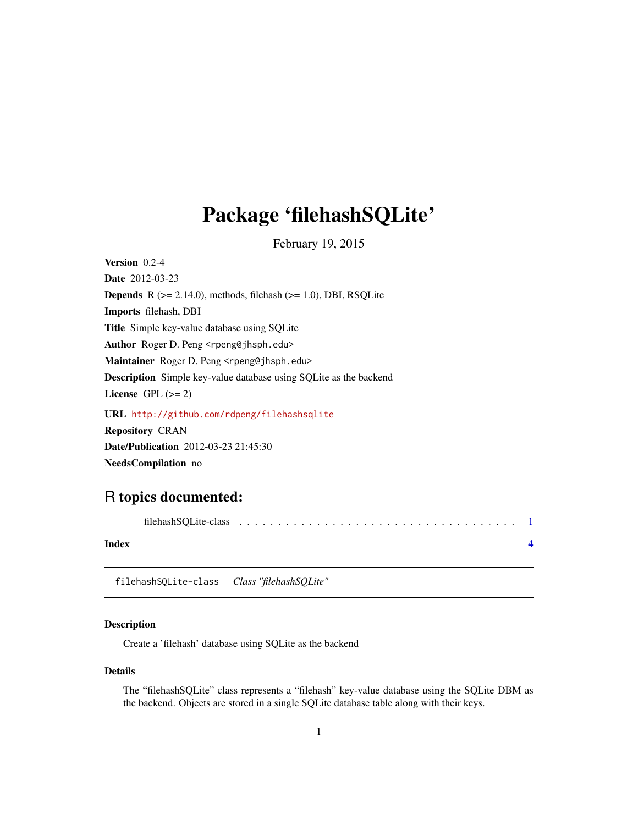## <span id="page-0-0"></span>Package 'filehashSQLite'

February 19, 2015

Version 0.2-4 Date 2012-03-23 **Depends** R  $(>= 2.14.0)$ , methods, filehash  $(>= 1.0)$ , DBI, RSQLite Imports filehash, DBI Title Simple key-value database using SQLite Author Roger D. Peng <rpeng@jhsph.edu> Maintainer Roger D. Peng <rpeng@jhsph.edu> Description Simple key-value database using SQLite as the backend License GPL  $(>= 2)$ URL <http://github.com/rdpeng/filehashsqlite> Repository CRAN Date/Publication 2012-03-23 21:45:30 NeedsCompilation no

### R topics documented:

| Index |  |  |  |  |  |  |  |  |  |  |  |  |  |  |
|-------|--|--|--|--|--|--|--|--|--|--|--|--|--|--|
|       |  |  |  |  |  |  |  |  |  |  |  |  |  |  |

filehashSQLite-class *Class "filehashSQLite"*

#### Description

Create a 'filehash' database using SQLite as the backend

#### Details

The "filehashSQLite" class represents a "filehash" key-value database using the SQLite DBM as the backend. Objects are stored in a single SQLite database table along with their keys.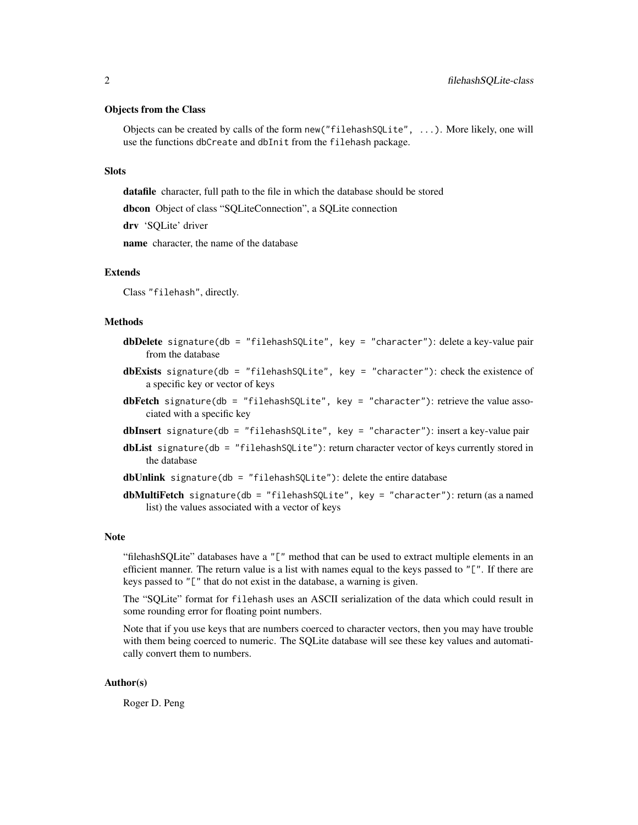#### Objects from the Class

Objects can be created by calls of the form new("filehashSQLite", ...). More likely, one will use the functions dbCreate and dbInit from the filehash package.

#### **Slots**

datafile character, full path to the file in which the database should be stored

dbcon Object of class "SQLiteConnection", a SQLite connection

drv 'SQLite' driver

name character, the name of the database

#### Extends

Class "filehash", directly.

#### Methods

- dbDelete signature(db = "filehashSQLite", key = "character"): delete a key-value pair from the database
- dbExists signature(db = "filehashSQLite", key = "character"): check the existence of a specific key or vector of keys
- dbFetch signature(db = "filehashSQLite", key = "character"): retrieve the value associated with a specific key
- dbInsert signature(db = "filehashSQLite", key = "character"): insert a key-value pair
- **dbList** signature( $db =$  "filehashSQLite"): return character vector of keys currently stored in the database

 $dbUnlink$  signature(db = "filehashSQLite"): delete the entire database

dbMultiFetch signature(db = "filehashSQLite", key = "character"): return (as a named list) the values associated with a vector of keys

#### Note

"filehashSQLite" databases have a "[" method that can be used to extract multiple elements in an efficient manner. The return value is a list with names equal to the keys passed to "[". If there are keys passed to "[" that do not exist in the database, a warning is given.

The "SQLite" format for filehash uses an ASCII serialization of the data which could result in some rounding error for floating point numbers.

Note that if you use keys that are numbers coerced to character vectors, then you may have trouble with them being coerced to numeric. The SQLite database will see these key values and automatically convert them to numbers.

#### Author(s)

Roger D. Peng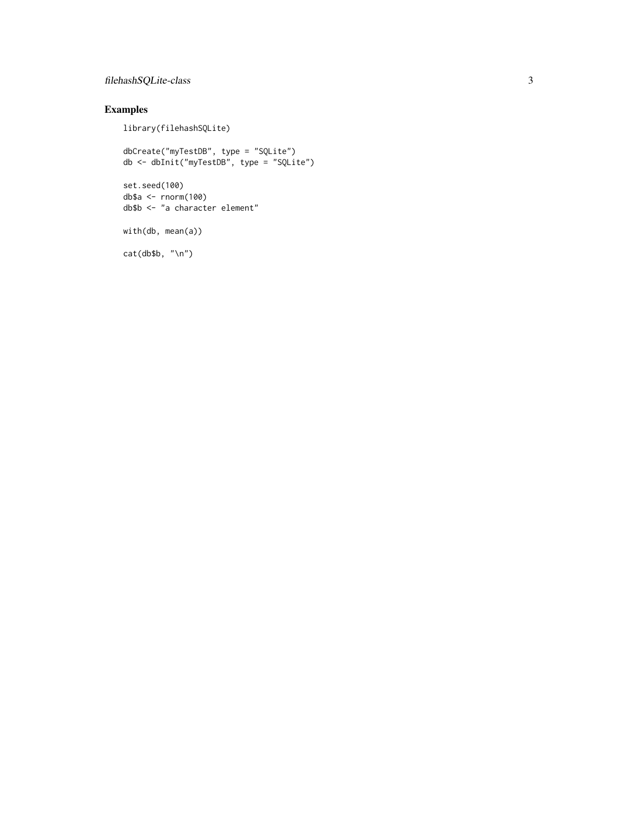#### filehashSQLite-class 3

#### Examples

library(filehashSQLite)

```
dbCreate("myTestDB", type = "SQLite")
db <- dbInit("myTestDB", type = "SQLite")
set.seed(100)
db$a <- rnorm(100)
db$b <- "a character element"
with(db, mean(a))
cat(db$b, "\n")
```